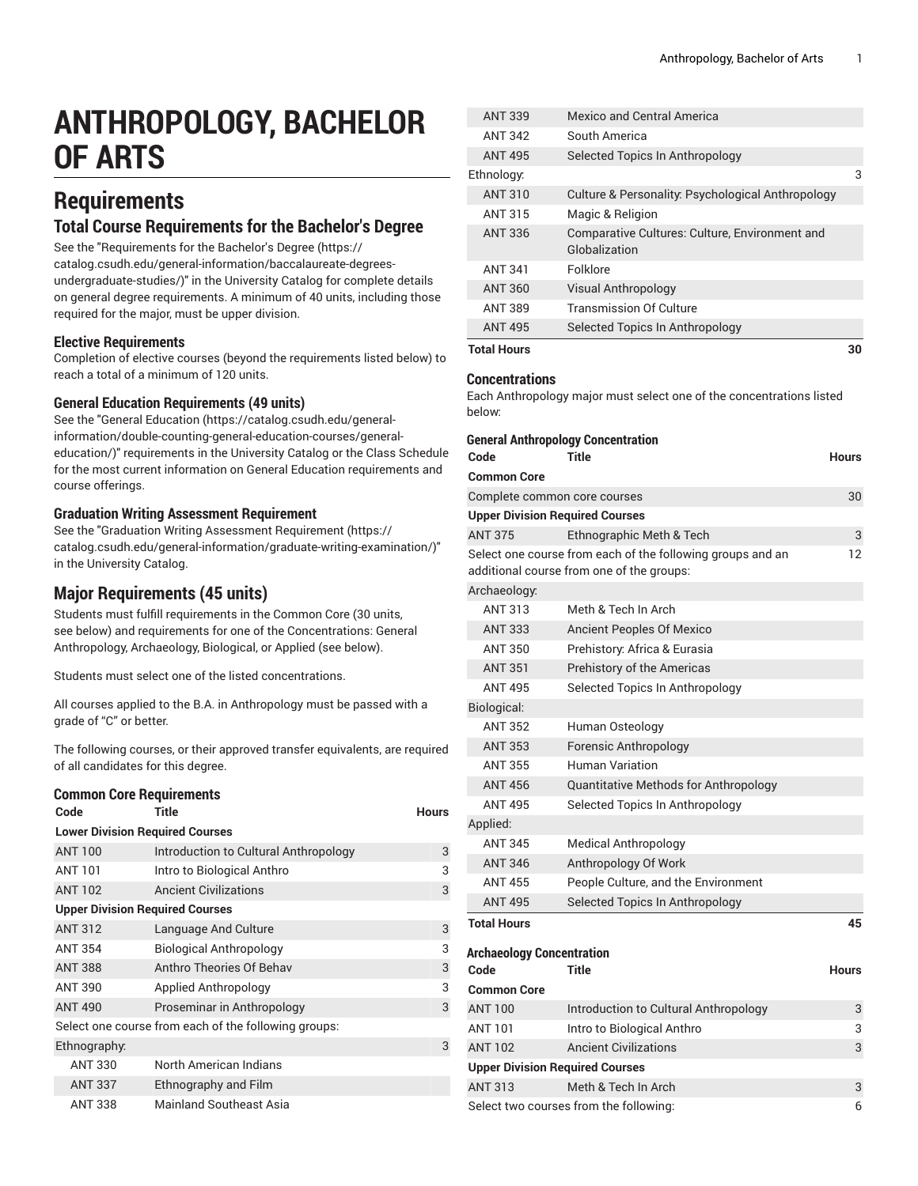# **ANTHROPOLOGY, BACHELOR OF ARTS**

## **Requirements**

### **Total Course Requirements for the Bachelor's Degree**

See the "[Requirements](https://catalog.csudh.edu/general-information/baccalaureate-degrees-undergraduate-studies/) for the Bachelor's Degree [\(https://](https://catalog.csudh.edu/general-information/baccalaureate-degrees-undergraduate-studies/) [catalog.csudh.edu/general-information/baccalaureate-degrees](https://catalog.csudh.edu/general-information/baccalaureate-degrees-undergraduate-studies/)[undergraduate-studies/\)](https://catalog.csudh.edu/general-information/baccalaureate-degrees-undergraduate-studies/)" in the University Catalog for complete details on general degree requirements. A minimum of 40 units, including those required for the major, must be upper division.

#### **Elective Requirements**

Completion of elective courses (beyond the requirements listed below) to reach a total of a minimum of 120 units.

#### **General Education Requirements (49 units)**

See the "General [Education](https://catalog.csudh.edu/general-information/double-counting-general-education-courses/general-education/) ([https://catalog.csudh.edu/general](https://catalog.csudh.edu/general-information/double-counting-general-education-courses/general-education/)[information/double-counting-general-education-courses/general](https://catalog.csudh.edu/general-information/double-counting-general-education-courses/general-education/)[education/](https://catalog.csudh.edu/general-information/double-counting-general-education-courses/general-education/))" requirements in the University Catalog or the Class Schedule for the most current information on General Education requirements and course offerings.

#### **Graduation Writing Assessment Requirement**

See the "Graduation Writing Assessment [Requirement \(https://](https://catalog.csudh.edu/general-information/graduate-writing-examination/) [catalog.csudh.edu/general-information/graduate-writing-examination/\)](https://catalog.csudh.edu/general-information/graduate-writing-examination/)" in the University Catalog.

### **Major Requirements (45 units)**

Students must fulfill requirements in the Common Core (30 units, see below) and requirements for one of the Concentrations: General Anthropology, Archaeology, Biological, or Applied (see below).

Students must select one of the listed concentrations.

All courses applied to the B.A. in Anthropology must be passed with a grade of "C" or better.

The following courses, or their approved transfer equivalents, are required of all candidates for this degree.

#### **Common Core Requirements**

| Code                                   | Title                                                | <b>Hours</b> |
|----------------------------------------|------------------------------------------------------|--------------|
| <b>Lower Division Required Courses</b> |                                                      |              |
| <b>ANT 100</b>                         | Introduction to Cultural Anthropology                | 3            |
| <b>ANT 101</b>                         | Intro to Biological Anthro                           | 3            |
| <b>ANT 102</b>                         | <b>Ancient Civilizations</b>                         | 3            |
| <b>Upper Division Required Courses</b> |                                                      |              |
| <b>ANT 312</b>                         | Language And Culture                                 | 3            |
| <b>ANT 354</b>                         | <b>Biological Anthropology</b>                       | 3            |
| <b>ANT 388</b>                         | Anthro Theories Of Behav                             | 3            |
| <b>ANT 390</b>                         | Applied Anthropology                                 | 3            |
| <b>ANT 490</b>                         | Proseminar in Anthropology                           | 3            |
|                                        | Select one course from each of the following groups: |              |
| Ethnography:                           |                                                      | 3            |
| <b>ANT 330</b>                         | North American Indians                               |              |
| <b>ANT 337</b>                         | Ethnography and Film                                 |              |
| <b>ANT 338</b>                         | Mainland Southeast Asia                              |              |

| <b>Total Hours</b> |                                                                 | 30 |
|--------------------|-----------------------------------------------------------------|----|
| <b>ANT 495</b>     | Selected Topics In Anthropology                                 |    |
| <b>ANT 389</b>     | <b>Transmission Of Culture</b>                                  |    |
| <b>ANT 360</b>     | <b>Visual Anthropology</b>                                      |    |
| <b>ANT 341</b>     | Folklore                                                        |    |
| <b>ANT 336</b>     | Comparative Cultures: Culture, Environment and<br>Globalization |    |
| <b>ANT 315</b>     | Magic & Religion                                                |    |
| <b>ANT 310</b>     | Culture & Personality: Psychological Anthropology               |    |
| Ethnology:         |                                                                 | 3  |
| <b>ANT 495</b>     | Selected Topics In Anthropology                                 |    |
| <b>ANT 342</b>     | South America                                                   |    |
| <b>ANT 339</b>     | Mexico and Central America                                      |    |

#### **Concentrations**

Each Anthropology major must select one of the concentrations listed below:

| Code                                   | <b>General Anthropology Concentration</b><br>Title                                                      | <b>Hours</b> |
|----------------------------------------|---------------------------------------------------------------------------------------------------------|--------------|
| <b>Common Core</b>                     |                                                                                                         |              |
| Complete common core courses           |                                                                                                         | 30           |
| <b>Upper Division Required Courses</b> |                                                                                                         |              |
| <b>ANT 375</b>                         | Ethnographic Meth & Tech                                                                                | 3            |
|                                        | Select one course from each of the following groups and an<br>additional course from one of the groups: | 12           |
| Archaeology:                           |                                                                                                         |              |
| <b>ANT 313</b>                         | Meth & Tech In Arch                                                                                     |              |
| <b>ANT 333</b>                         | <b>Ancient Peoples Of Mexico</b>                                                                        |              |
| <b>ANT 350</b>                         | Prehistory: Africa & Eurasia                                                                            |              |
| <b>ANT 351</b>                         | Prehistory of the Americas                                                                              |              |
| <b>ANT 495</b>                         | Selected Topics In Anthropology                                                                         |              |
| Biological:                            |                                                                                                         |              |
| <b>ANT 352</b>                         | Human Osteology                                                                                         |              |
| <b>ANT 353</b>                         | <b>Forensic Anthropology</b>                                                                            |              |
| <b>ANT 355</b>                         | <b>Human Variation</b>                                                                                  |              |
| <b>ANT 456</b>                         | Quantitative Methods for Anthropology                                                                   |              |
| <b>ANT 495</b>                         | Selected Topics In Anthropology                                                                         |              |
| Applied:                               |                                                                                                         |              |
| <b>ANT 345</b>                         | <b>Medical Anthropology</b>                                                                             |              |
| <b>ANT 346</b>                         | Anthropology Of Work                                                                                    |              |
| <b>ANT 455</b>                         | People Culture, and the Environment                                                                     |              |
| <b>ANT 495</b>                         | Selected Topics In Anthropology                                                                         |              |
| <b>Total Hours</b>                     |                                                                                                         | 45           |
| <b>Archaeology Concentration</b>       |                                                                                                         |              |
| Code                                   | <b>Title</b>                                                                                            | <b>Hours</b> |
| <b>Common Core</b>                     |                                                                                                         |              |
| <b>ANT 100</b>                         | Introduction to Cultural Anthropology                                                                   | 3            |
| <b>ANT 101</b>                         | Intro to Biological Anthro                                                                              | 3            |
| <b>ANT 102</b>                         | <b>Ancient Civilizations</b>                                                                            | 3            |
| <b>Upper Division Required Courses</b> |                                                                                                         |              |
| <b>ANT 313</b>                         | Meth & Tech In Arch                                                                                     | 3            |
|                                        | Select two courses from the following:                                                                  | 6            |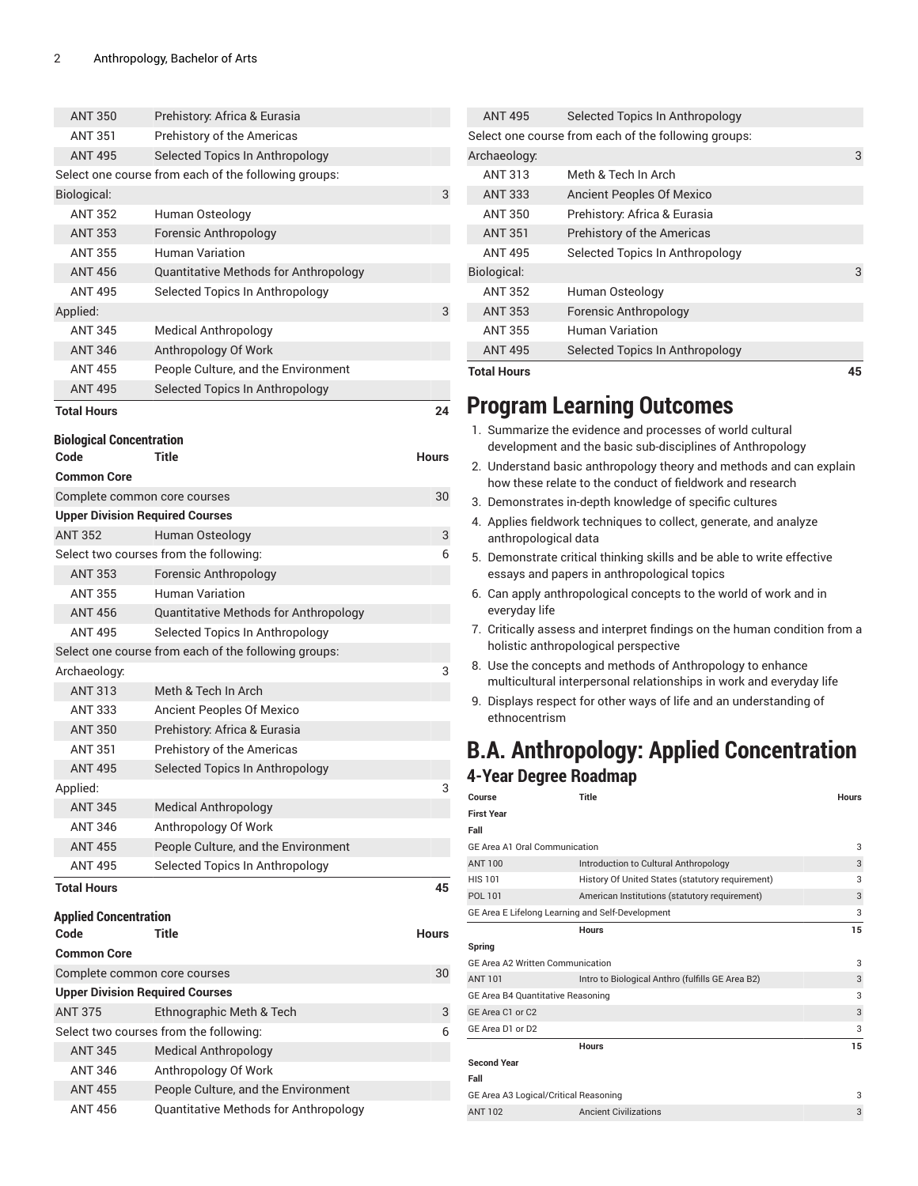| <b>ANT 350</b>                  | Prehistory: Africa & Eurasia                                                 |              |
|---------------------------------|------------------------------------------------------------------------------|--------------|
| <b>ANT 351</b>                  | Prehistory of the Americas                                                   |              |
| <b>ANT 495</b>                  | Selected Topics In Anthropology                                              |              |
|                                 | Select one course from each of the following groups:                         |              |
| Biological:                     |                                                                              | 3            |
| <b>ANT 352</b>                  | Human Osteology                                                              |              |
| <b>ANT 353</b>                  | <b>Forensic Anthropology</b>                                                 |              |
| <b>ANT 355</b>                  | Human Variation                                                              |              |
| <b>ANT 456</b>                  | Quantitative Methods for Anthropology                                        |              |
| <b>ANT 495</b>                  | Selected Topics In Anthropology                                              |              |
| Applied:                        |                                                                              | 3            |
| <b>ANT 345</b>                  | <b>Medical Anthropology</b>                                                  |              |
| <b>ANT 346</b>                  | Anthropology Of Work                                                         |              |
| <b>ANT 455</b>                  | People Culture, and the Environment                                          |              |
| <b>ANT 495</b>                  | Selected Topics In Anthropology                                              |              |
| <b>Total Hours</b>              |                                                                              | 24           |
| <b>Biological Concentration</b> |                                                                              |              |
| Code                            | <b>Title</b>                                                                 | <b>Hours</b> |
| <b>Common Core</b>              |                                                                              |              |
|                                 | Complete common core courses                                                 | 30           |
|                                 | <b>Upper Division Required Courses</b>                                       |              |
| <b>ANT 352</b>                  | Human Osteology                                                              | 3            |
|                                 | Select two courses from the following:                                       | 6            |
| <b>ANT 353</b>                  | <b>Forensic Anthropology</b>                                                 |              |
| <b>ANT 355</b>                  | <b>Human Variation</b>                                                       |              |
| <b>ANT 456</b>                  | Quantitative Methods for Anthropology                                        |              |
| <b>ANT 495</b>                  | Selected Topics In Anthropology                                              |              |
|                                 | Select one course from each of the following groups:                         |              |
| Archaeology:                    |                                                                              | 3            |
| <b>ANT 313</b>                  | Meth & Tech In Arch                                                          |              |
| <b>ANT 333</b>                  | <b>Ancient Peoples Of Mexico</b>                                             |              |
| <b>ANT 350</b>                  | Prehistory: Africa & Eurasia                                                 |              |
| <b>ANT 351</b>                  | Prehistory of the Americas                                                   |              |
| <b>ANT 495</b>                  | Selected Topics In Anthropology                                              |              |
| Applied:                        |                                                                              | 3            |
| <b>ANT 345</b>                  | <b>Medical Anthropology</b>                                                  |              |
| <b>ANT 346</b>                  | Anthropology Of Work                                                         |              |
| <b>ANT 455</b>                  | People Culture, and the Environment                                          |              |
| <b>ANT 495</b>                  | Selected Topics In Anthropology                                              |              |
| <b>Total Hours</b>              |                                                                              | 45           |
| <b>Applied Concentration</b>    |                                                                              |              |
| Code                            | Title                                                                        | Hours        |
| <b>Common Core</b>              |                                                                              |              |
|                                 | Complete common core courses                                                 | 30           |
|                                 | <b>Upper Division Required Courses</b>                                       |              |
| <b>ANT 375</b>                  | Ethnographic Meth & Tech                                                     | 3            |
|                                 | Select two courses from the following:                                       | 6            |
|                                 |                                                                              |              |
| <b>ANT 345</b>                  | <b>Medical Anthropology</b>                                                  |              |
| ANT 346                         | Anthropology Of Work                                                         |              |
| <b>ANT 455</b>                  | People Culture, and the Environment<br>Quantitative Methods for Anthropology |              |

|                                                                                                                                                                                                                                | 45                                                   |
|--------------------------------------------------------------------------------------------------------------------------------------------------------------------------------------------------------------------------------|------------------------------------------------------|
| Selected Topics In Anthropology                                                                                                                                                                                                |                                                      |
| Human Variation                                                                                                                                                                                                                |                                                      |
| Forensic Anthropology                                                                                                                                                                                                          |                                                      |
| Human Osteology                                                                                                                                                                                                                |                                                      |
|                                                                                                                                                                                                                                | 3                                                    |
| Selected Topics In Anthropology                                                                                                                                                                                                |                                                      |
| Prehistory of the Americas                                                                                                                                                                                                     |                                                      |
| Prehistory: Africa & Eurasia                                                                                                                                                                                                   |                                                      |
| <b>Ancient Peoples Of Mexico</b>                                                                                                                                                                                               |                                                      |
| Meth & Tech In Arch                                                                                                                                                                                                            |                                                      |
|                                                                                                                                                                                                                                | 3                                                    |
|                                                                                                                                                                                                                                |                                                      |
| Selected Topics In Anthropology                                                                                                                                                                                                |                                                      |
| <b>ANT 495</b><br>Archaeology:<br><b>ANT 313</b><br><b>ANT 333</b><br><b>ANT 350</b><br><b>ANT 351</b><br><b>ANT 495</b><br>Biological:<br><b>ANT 352</b><br><b>ANT 353</b><br><b>ANT 355</b><br><b>ANT 495</b><br>Total Hours | Select one course from each of the following groups: |

## **Program Learning Outcomes**

- 1. Summarize the evidence and processes of world cultural development and the basic sub-disciplines of Anthropology
- 2. Understand basic anthropology theory and methods and can explain how these relate to the conduct of fieldwork and research
- 3. Demonstrates in-depth knowledge of specific cultures
- 4. Applies fieldwork techniques to collect, generate, and analyze anthropological data
- 5. Demonstrate critical thinking skills and be able to write effective essays and papers in anthropological topics
- 6. Can apply anthropological concepts to the world of work and in everyday life
- 7. Critically assess and interpret findings on the human condition from a holistic anthropological perspective
- 8. Use the concepts and methods of Anthropology to enhance multicultural interpersonal relationships in work and everyday life
- 9. Displays respect for other ways of life and an understanding of ethnocentrism

## **B.A. Anthropology: Applied Concentration 4-Year Degree Roadmap**

| Course                                  | Title                                            | <b>Hours</b> |
|-----------------------------------------|--------------------------------------------------|--------------|
| <b>First Year</b>                       |                                                  |              |
| Fall                                    |                                                  |              |
| <b>GE Area A1 Oral Communication</b>    |                                                  | 3            |
| <b>ANT 100</b>                          | Introduction to Cultural Anthropology            | 3            |
| <b>HIS 101</b>                          | History Of United States (statutory requirement) | 3            |
| POL 101                                 | American Institutions (statutory requirement)    | 3            |
|                                         | GE Area E Lifelong Learning and Self-Development | 3            |
|                                         | <b>Hours</b>                                     | 15           |
| Spring                                  |                                                  |              |
| <b>GE Area A2 Written Communication</b> |                                                  | 3            |
| <b>ANT 101</b>                          | Intro to Biological Anthro (fulfills GE Area B2) | 3            |
| GE Area B4 Quantitative Reasoning       |                                                  | 3            |
| GE Area C1 or C2                        |                                                  | 3            |
| GE Area D1 or D2                        |                                                  | 3            |
|                                         | <b>Hours</b>                                     | 15           |
| <b>Second Year</b>                      |                                                  |              |
| Fall                                    |                                                  |              |
| GE Area A3 Logical/Critical Reasoning   |                                                  | 3            |

external and the Ancient Civilizations 3 Ancient Civilizations 3 Ancient Civilizations 3 Ancient Civilizations 3 Ancient Civilizations 3 Ancient Civilizations 3 Ancient Civilizations 3 Ancient Civilizations 3 Ancient Civil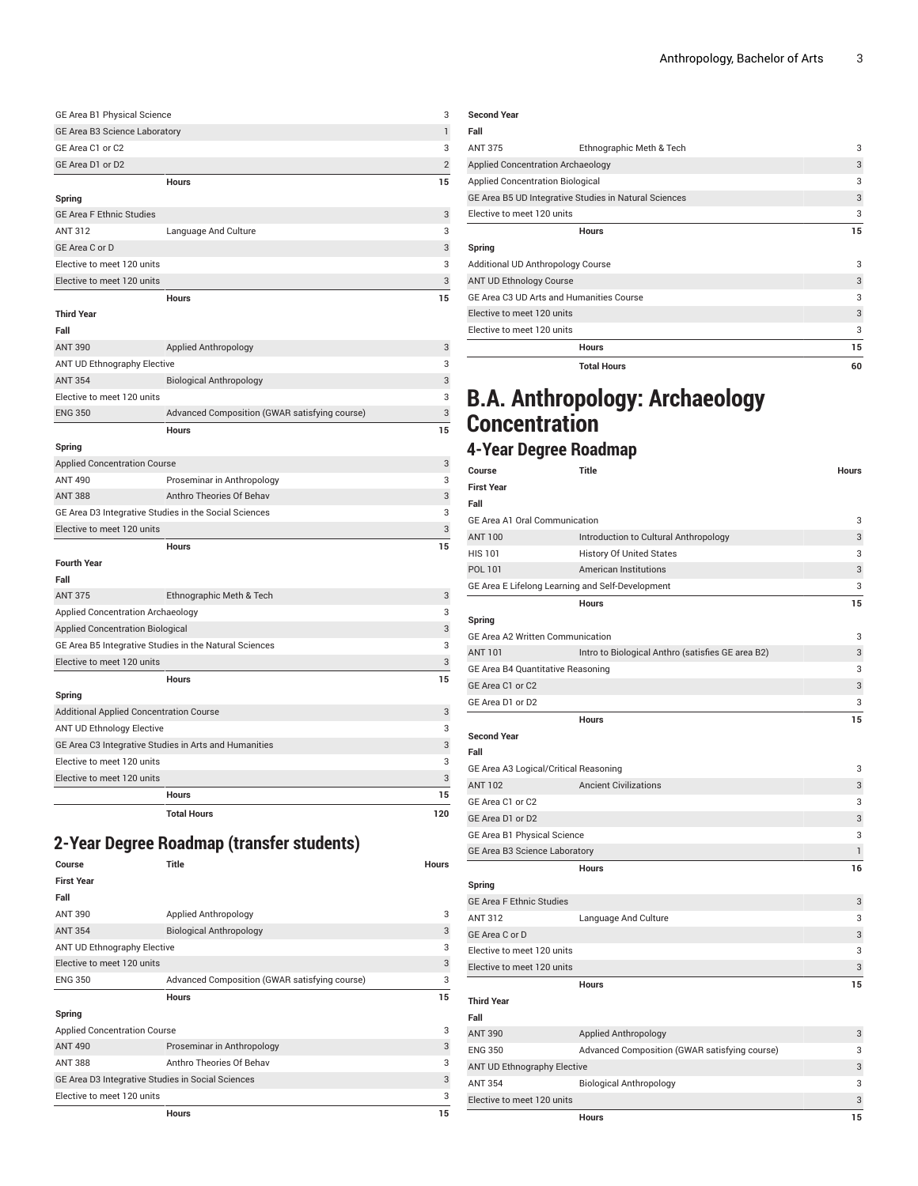| GE Area B1 Physical Science   |    |
|-------------------------------|----|
| GE Area B3 Science Laboratory |    |
| GE Area C1 or C2              |    |
| GE Area D1 or D2              |    |
| <b>Hours</b>                  | 15 |

### **Spring**

| <b>GE Area F Ethnic Studies</b> |                      | 3             |
|---------------------------------|----------------------|---------------|
| ANT 312                         | Language And Culture | 3             |
| GE Area C or D                  |                      | $\mathcal{R}$ |
| Elective to meet 120 units      |                      | З             |
| Elective to meet 120 units      |                      | $\mathcal{R}$ |

|                                          | <b>Hours</b>                                           | 15 |
|------------------------------------------|--------------------------------------------------------|----|
| <b>Third Year</b>                        |                                                        |    |
| Fall                                     |                                                        |    |
| ANT 390                                  | <b>Applied Anthropology</b>                            | 3  |
| ANT UD Ethnography Elective              |                                                        | 3  |
| <b>ANT 354</b>                           | <b>Biological Anthropology</b>                         | 3  |
| Elective to meet 120 units               |                                                        | 3  |
| <b>ENG 350</b>                           | Advanced Composition (GWAR satisfying course)          | 3  |
|                                          | <b>Hours</b>                                           | 15 |
| Spring                                   |                                                        |    |
| <b>Applied Concentration Course</b>      |                                                        | 3  |
| <b>ANT 490</b>                           | Proseminar in Anthropology                             | 3  |
| <b>ANT 388</b>                           | Anthro Theories Of Behav                               | 3  |
|                                          | GE Area D3 Integrative Studies in the Social Sciences  | 3  |
| Elective to meet 120 units               |                                                        | 3  |
|                                          | <b>Hours</b>                                           | 15 |
| <b>Fourth Year</b>                       |                                                        |    |
| Fall                                     |                                                        |    |
| <b>ANT 375</b>                           | Ethnographic Meth & Tech                               | 3  |
| <b>Applied Concentration Archaeology</b> |                                                        | 3  |
| <b>Applied Concentration Biological</b>  |                                                        | 3  |
|                                          | GE Area B5 Integrative Studies in the Natural Sciences | 3  |
| Elective to meet 120 units               |                                                        | 3  |
|                                          | <b>Hours</b>                                           | 15 |
| Spring                                   |                                                        |    |
|                                          | Additional Applied Concentration Course                | 3  |
| <b>ANT UD Ethnology Elective</b>         |                                                        | 3  |
|                                          | GE Area C3 Integrative Studies in Arts and Humanities  | 3  |

**Hours 15**

**Total Hours 120**

## **2-Year Degree Roadmap (transfer students)**

| Course                                            | Title                                         | <b>Hours</b> |
|---------------------------------------------------|-----------------------------------------------|--------------|
| <b>First Year</b>                                 |                                               |              |
| Fall                                              |                                               |              |
| <b>ANT 390</b>                                    | Applied Anthropology                          | 3            |
| <b>ANT 354</b>                                    | <b>Biological Anthropology</b>                | 3            |
| <b>ANT UD Ethnography Elective</b>                |                                               | 3            |
| Elective to meet 120 units                        |                                               | 3            |
| <b>ENG 350</b>                                    | Advanced Composition (GWAR satisfying course) | 3            |
|                                                   |                                               |              |
|                                                   | <b>Hours</b>                                  | 15           |
| Spring                                            |                                               |              |
| <b>Applied Concentration Course</b>               |                                               | 3            |
| <b>ANT 490</b>                                    | Proseminar in Anthropology                    | 3            |
| <b>ANT 388</b>                                    | Anthro Theories Of Behav                      | 3            |
| GE Area D3 Integrative Studies in Social Sciences |                                               | 3            |
| Elective to meet 120 units                        |                                               | 3            |

Elective to meet 120 units 3 Elective to meet 120 units 3 3

|                                          | <b>Total Hours</b>                                    | 60 |
|------------------------------------------|-------------------------------------------------------|----|
|                                          | <b>Hours</b>                                          | 15 |
| Elective to meet 120 units               |                                                       | 3  |
| Elective to meet 120 units               |                                                       | 3  |
| GE Area C3 UD Arts and Humanities Course |                                                       | 3  |
| ANT UD Ethnology Course                  |                                                       | 3  |
| Additional UD Anthropology Course        |                                                       | 3  |
| Spring                                   |                                                       |    |
|                                          | <b>Hours</b>                                          | 15 |
| Elective to meet 120 units               |                                                       | 3  |
|                                          | GE Area B5 UD Integrative Studies in Natural Sciences | 3  |
| <b>Applied Concentration Biological</b>  |                                                       | 3  |
| Applied Concentration Archaeology        |                                                       | 3  |
| <b>ANT 375</b>                           | Ethnographic Meth & Tech                              | 3  |
| Fall                                     |                                                       |    |
| <b>Second Year</b>                       |                                                       |    |
|                                          |                                                       |    |

## **B.A. Anthropology: Archaeology Concentration**

### **4-Year Degree Roadmap**

| Course                                           | <b>Title</b>                                      | Hours        |
|--------------------------------------------------|---------------------------------------------------|--------------|
| <b>First Year</b>                                |                                                   |              |
| Fall                                             |                                                   |              |
| <b>GE Area A1 Oral Communication</b>             |                                                   | 3            |
| <b>ANT 100</b>                                   | Introduction to Cultural Anthropology             | 3            |
| <b>HIS 101</b>                                   | <b>History Of United States</b>                   | 3            |
| POL 101                                          | <b>American Institutions</b>                      | 3            |
| GE Area E Lifelong Learning and Self-Development |                                                   | 3            |
|                                                  | <b>Hours</b>                                      | 15           |
| Spring                                           |                                                   |              |
| GE Area A2 Written Communication                 |                                                   | 3            |
| <b>ANT 101</b>                                   | Intro to Biological Anthro (satisfies GE area B2) | 3            |
| GE Area B4 Quantitative Reasoning                |                                                   | 3            |
| GE Area C1 or C2                                 |                                                   | 3            |
| GE Area D1 or D2                                 |                                                   | 3            |
|                                                  | <b>Hours</b>                                      | 15           |
| <b>Second Year</b>                               |                                                   |              |
| Fall                                             |                                                   |              |
| GE Area A3 Logical/Critical Reasoning            |                                                   | 3            |
| <b>ANT 102</b>                                   | <b>Ancient Civilizations</b>                      | 3            |
| GE Area C1 or C2                                 |                                                   | 3            |
| GE Area D1 or D2                                 |                                                   | 3            |
| GE Area B1 Physical Science                      |                                                   | 3            |
| GE Area B3 Science Laboratory                    |                                                   | $\mathbf{1}$ |
|                                                  | <b>Hours</b>                                      | 16           |
| Spring                                           |                                                   |              |
| <b>GE Area F Ethnic Studies</b>                  |                                                   | 3            |
| <b>ANT 312</b>                                   | Language And Culture                              | 3            |
| GE Area C or D                                   |                                                   | 3            |
| Elective to meet 120 units                       |                                                   | 3            |
| Elective to meet 120 units                       |                                                   | 3            |
|                                                  | <b>Hours</b>                                      | 15           |
| <b>Third Year</b>                                |                                                   |              |
| Fall                                             |                                                   |              |
| <b>ANT 390</b>                                   | Applied Anthropology                              | 3            |
| <b>ENG 350</b>                                   | Advanced Composition (GWAR satisfying course)     | 3            |
| <b>ANT UD Ethnography Elective</b>               |                                                   | 3            |
| <b>ANT 354</b>                                   | <b>Biological Anthropology</b>                    | 3            |
| Elective to meet 120 units                       |                                                   | 3            |
|                                                  | <b>Hours</b>                                      | 15           |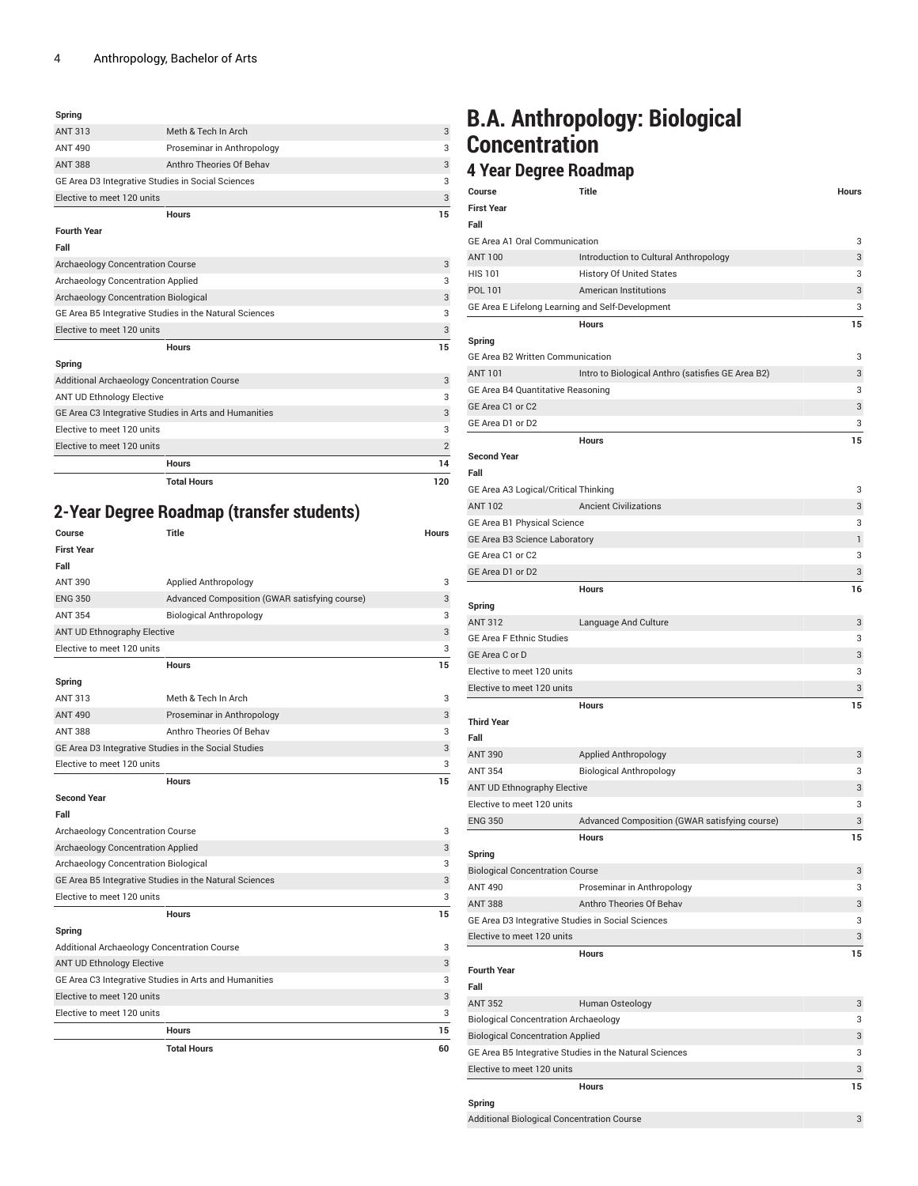#### **Spring**

|                                                        | <b>Hours</b>               | 15 |
|--------------------------------------------------------|----------------------------|----|
| Elective to meet 120 units                             |                            | 3  |
| GE Area B5 Integrative Studies in the Natural Sciences |                            | 3  |
| <b>Archaeology Concentration Biological</b>            |                            | 3  |
| Archaeology Concentration Applied                      |                            | 3  |
| <b>Archaeology Concentration Course</b>                |                            | 3  |
| Fall                                                   |                            |    |
| <b>Fourth Year</b>                                     |                            |    |
|                                                        | <b>Hours</b>               | 15 |
| Elective to meet 120 units                             |                            | 3  |
| GE Area D3 Integrative Studies in Social Sciences      |                            | 3  |
| <b>ANT 388</b>                                         | Anthro Theories Of Behav   | 3  |
| <b>ANT 490</b>                                         | Proseminar in Anthropology | 3  |
| <b>ANT 313</b>                                         | Meth & Tech In Arch        | 3  |
|                                                        |                            |    |

| Spring                                                |                |  |
|-------------------------------------------------------|----------------|--|
| Additional Archaeology Concentration Course           |                |  |
| <b>ANT UD Ethnology Elective</b>                      | 3              |  |
| GE Area C3 Integrative Studies in Arts and Humanities |                |  |
| Elective to meet 120 units                            |                |  |
| Elective to meet 120 units                            | $\overline{2}$ |  |
| <b>Hours</b>                                          | 14             |  |
| <b>Total Hours</b>                                    | 120            |  |

### **2-Year Degree Roadmap (transfer students)**

| Course                                                 | <b>Title</b>                                  | <b>Hours</b> |
|--------------------------------------------------------|-----------------------------------------------|--------------|
| <b>First Year</b>                                      |                                               |              |
| Fall                                                   |                                               |              |
| <b>ANT 390</b>                                         | Applied Anthropology                          | 3            |
| <b>ENG 350</b>                                         | Advanced Composition (GWAR satisfying course) | 3            |
| <b>ANT 354</b>                                         | <b>Biological Anthropology</b>                | 3            |
| ANT UD Ethnography Elective                            |                                               | 3            |
| Elective to meet 120 units                             |                                               | 3            |
|                                                        | <b>Hours</b>                                  | 15           |
| Spring                                                 |                                               |              |
| ANT 313                                                | Meth & Tech In Arch                           | 3            |
| <b>ANT 490</b>                                         | Proseminar in Anthropology                    | 3            |
| <b>ANT 388</b>                                         | Anthro Theories Of Behav                      | 3            |
| GE Area D3 Integrative Studies in the Social Studies   |                                               | 3            |
| Elective to meet 120 units                             |                                               | 3            |
|                                                        | <b>Hours</b>                                  | 15           |
| <b>Second Year</b>                                     |                                               |              |
| Fall                                                   |                                               |              |
| Archaeology Concentration Course                       |                                               |              |
| Archaeology Concentration Applied                      |                                               | 3            |
| Archaeology Concentration Biological                   |                                               | 3            |
| GE Area B5 Integrative Studies in the Natural Sciences |                                               | 3            |
| Elective to meet 120 units                             |                                               | 3            |
|                                                        | <b>Hours</b>                                  | 15           |
| Spring                                                 |                                               |              |
| Additional Archaeology Concentration Course            |                                               | 3            |
| <b>ANT UD Ethnology Elective</b>                       |                                               | 3            |
| GE Area C3 Integrative Studies in Arts and Humanities  |                                               | 3            |
| Elective to meet 120 units                             |                                               | 3            |
| Elective to meet 120 units                             |                                               | 3            |
| <b>Hours</b>                                           |                                               | 15           |
|                                                        | <b>Total Hours</b>                            | 60           |

## **B.A. Anthropology: Biological Concentration**

### **4 Year Degree Roadmap**

| Course                                            | <b>Title</b>                                           | Hours |
|---------------------------------------------------|--------------------------------------------------------|-------|
| <b>First Year</b>                                 |                                                        |       |
| Fall                                              |                                                        |       |
| <b>GE Area A1 Oral Communication</b>              |                                                        | 3     |
| <b>ANT 100</b>                                    | Introduction to Cultural Anthropology                  | 3     |
| <b>HIS 101</b>                                    | <b>History Of United States</b>                        | 3     |
| POL 101                                           | <b>American Institutions</b>                           | 3     |
| GE Area E Lifelong Learning and Self-Development  |                                                        | 3     |
|                                                   | <b>Hours</b>                                           | 15    |
| Spring                                            |                                                        |       |
| <b>GE Area B2 Written Communication</b>           |                                                        | 3     |
| <b>ANT 101</b>                                    | Intro to Biological Anthro (satisfies GE Area B2)      | 3     |
| GE Area B4 Quantitative Reasoning                 |                                                        | 3     |
| GE Area C1 or C2                                  |                                                        | 3     |
| GE Area D1 or D2                                  |                                                        | 3     |
|                                                   | <b>Hours</b>                                           | 15    |
| <b>Second Year</b>                                |                                                        |       |
| Fall                                              |                                                        |       |
| GE Area A3 Logical/Critical Thinking              |                                                        | 3     |
| <b>ANT 102</b>                                    | <b>Ancient Civilizations</b>                           | 3     |
| GE Area B1 Physical Science                       |                                                        | 3     |
| GE Area B3 Science Laboratory                     |                                                        | 1     |
| GE Area C1 or C2                                  |                                                        | 3     |
| GE Area D1 or D2                                  |                                                        | 3     |
|                                                   | Hours                                                  | 16    |
| Spring                                            |                                                        |       |
| <b>ANT 312</b>                                    | Language And Culture                                   | 3     |
| <b>GE Area F Ethnic Studies</b>                   |                                                        | 3     |
| GE Area C or D                                    |                                                        | 3     |
| Elective to meet 120 units                        |                                                        | 3     |
| Elective to meet 120 units                        |                                                        | 3     |
|                                                   | <b>Hours</b>                                           | 15    |
| <b>Third Year</b>                                 |                                                        |       |
| Fall                                              |                                                        |       |
| <b>ANT 390</b>                                    | <b>Applied Anthropology</b>                            | 3     |
| <b>ANT 354</b>                                    | <b>Biological Anthropology</b>                         | 3     |
| <b>ANT UD Ethnography Elective</b>                |                                                        | 3     |
| Elective to meet 120 units                        |                                                        | 3     |
| <b>ENG 350</b>                                    | Advanced Composition (GWAR satisfying course)          | 3     |
|                                                   | <b>Hours</b>                                           | 15    |
| Spring                                            |                                                        |       |
| <b>Biological Concentration Course</b>            |                                                        | 3     |
| <b>ANT 490</b>                                    | Proseminar in Anthropology                             | 3     |
| <b>ANT 388</b>                                    | Anthro Theories Of Behav                               | 3     |
| GE Area D3 Integrative Studies in Social Sciences |                                                        | 3     |
| Elective to meet 120 units                        |                                                        | 3     |
|                                                   | Hours                                                  | 15    |
| <b>Fourth Year</b>                                |                                                        |       |
| Fall                                              |                                                        |       |
| <b>ANT 352</b>                                    | Human Osteology                                        | 3     |
| <b>Biological Concentration Archaeology</b>       |                                                        | 3     |
| <b>Biological Concentration Applied</b>           |                                                        | 3     |
|                                                   | GE Area B5 Integrative Studies in the Natural Sciences | 3     |
| Elective to meet 120 units                        |                                                        | 3     |
|                                                   | Hours                                                  | 15    |
| Spring                                            |                                                        |       |
|                                                   |                                                        |       |

Additional Biological Concentration Course 33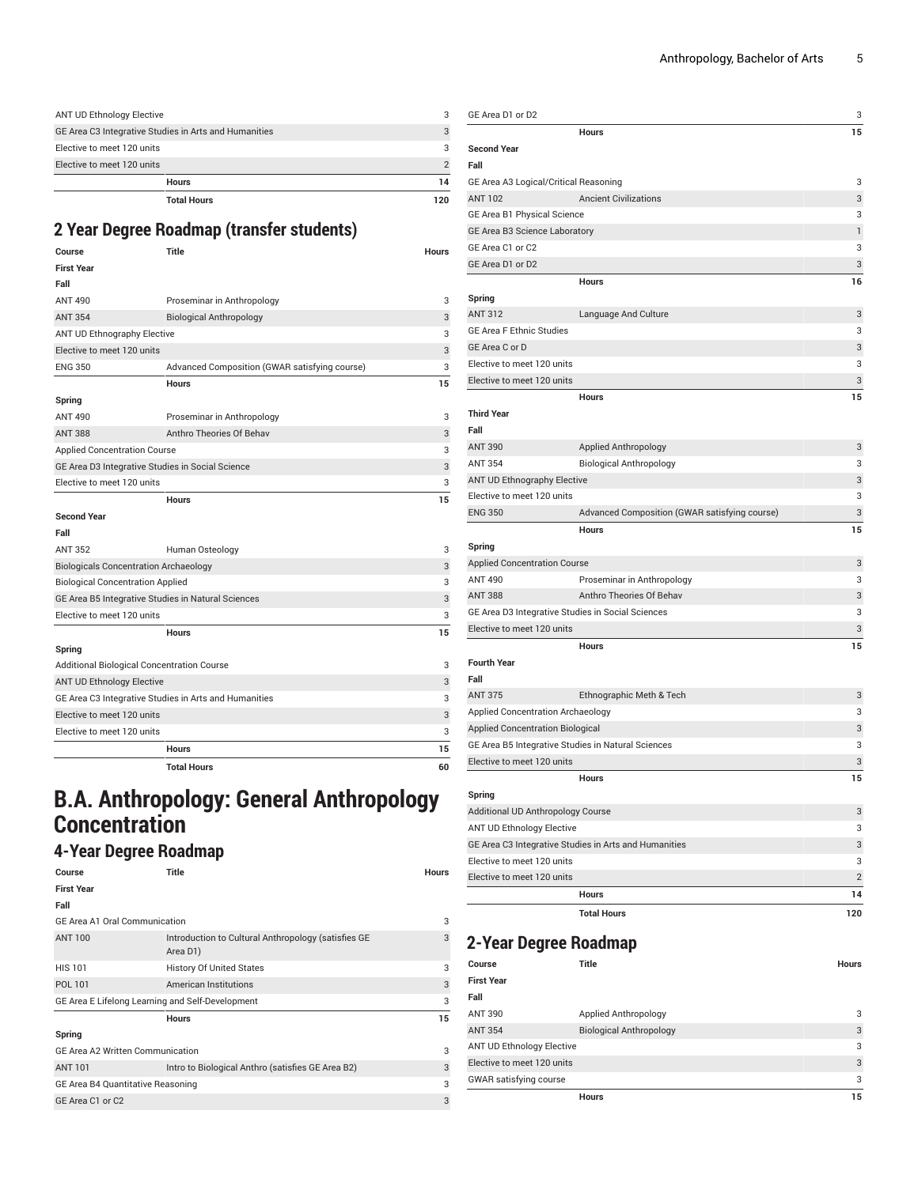| ANT UD Ethnology Elective                             |    |
|-------------------------------------------------------|----|
| GE Area C3 Integrative Studies in Arts and Humanities |    |
| Elective to meet 120 units                            | 3  |
| Elective to meet 120 units                            |    |
| <b>Hours</b>                                          | 14 |
| <b>Total Hours</b>                                    |    |

### **2 Year Degree Roadmap (transfer students)**

| Course                                                | Title                                         | <b>Hours</b> |
|-------------------------------------------------------|-----------------------------------------------|--------------|
| <b>First Year</b>                                     |                                               |              |
| Fall                                                  |                                               |              |
| <b>ANT 490</b>                                        | Proseminar in Anthropology                    | 3            |
| <b>ANT 354</b>                                        | <b>Biological Anthropology</b>                | 3            |
| ANT UD Ethnography Elective                           |                                               | 3            |
| Elective to meet 120 units                            |                                               | 3            |
| <b>ENG 350</b>                                        | Advanced Composition (GWAR satisfying course) | 3            |
|                                                       | <b>Hours</b>                                  | 15           |
| Spring                                                |                                               |              |
| <b>ANT 490</b>                                        | Proseminar in Anthropology                    | 3            |
| <b>ANT 388</b>                                        | Anthro Theories Of Behav                      | 3            |
| <b>Applied Concentration Course</b>                   |                                               | 3            |
| GE Area D3 Integrative Studies in Social Science      |                                               | 3            |
| Elective to meet 120 units                            |                                               | 3            |
|                                                       | <b>Hours</b>                                  | 15           |
| <b>Second Year</b>                                    |                                               |              |
| Fall                                                  |                                               |              |
| <b>ANT 352</b>                                        | Human Osteology                               | 3            |
| <b>Biologicals Concentration Archaeology</b>          |                                               | 3            |
| <b>Biological Concentration Applied</b>               |                                               | 3            |
| GE Area B5 Integrative Studies in Natural Sciences    |                                               | 3            |
| Elective to meet 120 units                            |                                               | 3            |
|                                                       | Hours                                         | 15           |
| Spring                                                |                                               |              |
| Additional Biological Concentration Course            |                                               | 3            |
| <b>ANT UD Ethnology Elective</b>                      |                                               | 3            |
| GE Area C3 Integrative Studies in Arts and Humanities |                                               | 3            |
| Elective to meet 120 units                            |                                               | 3            |
| Elective to meet 120 units                            |                                               | 3            |
|                                                       | <b>Hours</b>                                  | 15           |
|                                                       | <b>Total Hours</b>                            | 60           |

## **B.A. Anthropology: General Anthropology Concentration**

## **4-Year Degree Roadmap**

| Course                                           | Title                                                           | Hours |
|--------------------------------------------------|-----------------------------------------------------------------|-------|
| <b>First Year</b>                                |                                                                 |       |
| Fall                                             |                                                                 |       |
| GE Area A1 Oral Communication                    |                                                                 | 3     |
| <b>ANT 100</b>                                   | Introduction to Cultural Anthropology (satisfies GE<br>Area D1) | 3     |
| <b>HIS 101</b>                                   | <b>History Of United States</b>                                 | 3     |
| POL 101                                          | American Institutions                                           | 3     |
| GE Area E Lifelong Learning and Self-Development |                                                                 | 3     |
|                                                  | <b>Hours</b>                                                    | 15    |
| Spring                                           |                                                                 |       |
| <b>GE Area A2 Written Communication</b>          |                                                                 | 3     |
| <b>ANT 101</b>                                   | Intro to Biological Anthro (satisfies GE Area B2)               | 3     |
| GE Area B4 Quantitative Reasoning                |                                                                 |       |
| GE Area C1 or C2                                 |                                                                 | 3     |

| GE Area D1 or D2                                                | 3              |
|-----------------------------------------------------------------|----------------|
| Hours                                                           | 15             |
| <b>Second Year</b>                                              |                |
| Fall                                                            |                |
| GE Area A3 Logical/Critical Reasoning                           | 3              |
| <b>Ancient Civilizations</b><br><b>ANT 102</b>                  | 3              |
| GE Area B1 Physical Science                                     | 3              |
| GE Area B3 Science Laboratory                                   | 1              |
| GE Area C1 or C2                                                | 3              |
| GE Area D1 or D2                                                | 3              |
| <b>Hours</b>                                                    | 16             |
| Spring                                                          |                |
| <b>ANT 312</b><br>Language And Culture                          | 3              |
| <b>GE Area F Ethnic Studies</b>                                 | 3              |
| GE Area C or D                                                  | 3              |
| Elective to meet 120 units                                      | 3              |
| Elective to meet 120 units                                      | 3              |
| <b>Hours</b>                                                    | 15             |
| <b>Third Year</b>                                               |                |
| Fall                                                            |                |
| <b>ANT 390</b><br>Applied Anthropology                          | 3              |
| <b>ANT 354</b><br><b>Biological Anthropology</b>                | 3              |
| <b>ANT UD Ethnography Elective</b>                              | 3              |
| Elective to meet 120 units                                      | 3              |
| <b>ENG 350</b><br>Advanced Composition (GWAR satisfying course) | 3              |
| <b>Hours</b>                                                    | 15             |
| Spring                                                          |                |
| <b>Applied Concentration Course</b>                             | 3              |
| <b>ANT 490</b><br>Proseminar in Anthropology                    | 3              |
| <b>ANT 388</b><br>Anthro Theories Of Behav                      | 3              |
| GE Area D3 Integrative Studies in Social Sciences               | 3              |
| Elective to meet 120 units                                      | 3              |
| <b>Hours</b>                                                    | 15             |
| <b>Fourth Year</b>                                              |                |
| Fall                                                            |                |
| <b>ANT 375</b><br>Ethnographic Meth & Tech                      | 3              |
| <b>Applied Concentration Archaeology</b>                        | 3              |
| <b>Applied Concentration Biological</b>                         | 3              |
| GE Area B5 Integrative Studies in Natural Sciences              | 3              |
| Elective to meet 120 units                                      | 3              |
| <b>Hours</b>                                                    | 15             |
| Spring                                                          |                |
| Additional UD Anthropology Course                               | 3              |
| <b>ANT UD Ethnology Elective</b>                                | 3              |
| GE Area C3 Integrative Studies in Arts and Humanities           | 3              |
| Elective to meet 120 units                                      | 3              |
| Elective to meet 120 units                                      | $\overline{2}$ |
| Hours                                                           | 14             |
|                                                                 |                |
| <b>Total Hours</b>                                              | 120            |

### **2-Year Degree Roadmap**

| Course                           | Title                          | <b>Hours</b> |
|----------------------------------|--------------------------------|--------------|
| <b>First Year</b>                |                                |              |
| Fall                             |                                |              |
| <b>ANT 390</b>                   | Applied Anthropology           | 3            |
| <b>ANT 354</b>                   | <b>Biological Anthropology</b> | 3            |
| <b>ANT UD Ethnology Elective</b> |                                | 3            |
| Elective to meet 120 units       |                                | 3            |
| <b>GWAR satisfying course</b>    |                                | 3            |
|                                  | <b>Hours</b>                   | 15           |